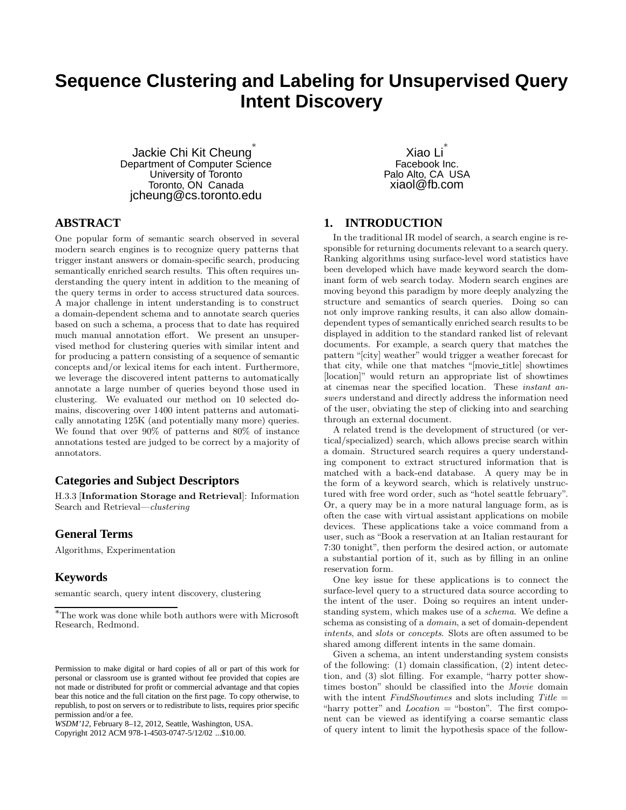# **Sequence Clustering and Labeling for Unsupervised Query Intent Discovery**

Jackie Chi Kit Cheung $\stackrel{*}{\,}$ Department of Computer Science University of Toronto Toronto, ON Canada jcheung@cs.toronto.edu

Xiao Li ∗ Facebook Inc. Palo Alto, CA USA xiaol@fb.com

# **ABSTRACT**

One popular form of semantic search observed in several modern search engines is to recognize query patterns that trigger instant answers or domain-specific search, producing semantically enriched search results. This often requires understanding the query intent in addition to the meaning of the query terms in order to access structured data sources. A major challenge in intent understanding is to construct a domain-dependent schema and to annotate search queries based on such a schema, a process that to date has required much manual annotation effort. We present an unsupervised method for clustering queries with similar intent and for producing a pattern consisting of a sequence of semantic concepts and/or lexical items for each intent. Furthermore, we leverage the discovered intent patterns to automatically annotate a large number of queries beyond those used in clustering. We evaluated our method on 10 selected domains, discovering over 1400 intent patterns and automatically annotating 125K (and potentially many more) queries. We found that over 90% of patterns and 80% of instance annotations tested are judged to be correct by a majority of annotators.

## **Categories and Subject Descriptors**

H.3.3 [Information Storage and Retrieval]: Information Search and Retrieval—clustering

## **General Terms**

Algorithms, Experimentation

## **Keywords**

semantic search, query intent discovery, clustering

*WSDM'12,* February 8–12, 2012, Seattle, Washington, USA.

Copyright 2012 ACM 978-1-4503-0747-5/12/02 ...\$10.00.

## **1. INTRODUCTION**

In the traditional IR model of search, a search engine is responsible for returning documents relevant to a search query. Ranking algorithms using surface-level word statistics have been developed which have made keyword search the dominant form of web search today. Modern search engines are moving beyond this paradigm by more deeply analyzing the structure and semantics of search queries. Doing so can not only improve ranking results, it can also allow domaindependent types of semantically enriched search results to be displayed in addition to the standard ranked list of relevant documents. For example, a search query that matches the pattern "[city] weather" would trigger a weather forecast for that city, while one that matches "[movie title] showtimes [location]" would return an appropriate list of showtimes at cinemas near the specified location. These instant answers understand and directly address the information need of the user, obviating the step of clicking into and searching through an external document.

A related trend is the development of structured (or vertical/specialized) search, which allows precise search within a domain. Structured search requires a query understanding component to extract structured information that is matched with a back-end database. A query may be in the form of a keyword search, which is relatively unstructured with free word order, such as "hotel seattle february". Or, a query may be in a more natural language form, as is often the case with virtual assistant applications on mobile devices. These applications take a voice command from a user, such as "Book a reservation at an Italian restaurant for 7:30 tonight", then perform the desired action, or automate a substantial portion of it, such as by filling in an online reservation form.

One key issue for these applications is to connect the surface-level query to a structured data source according to the intent of the user. Doing so requires an intent understanding system, which makes use of a schema. We define a schema as consisting of a domain, a set of domain-dependent intents, and slots or concepts. Slots are often assumed to be shared among different intents in the same domain.

Given a schema, an intent understanding system consists of the following: (1) domain classification, (2) intent detection, and (3) slot filling. For example, "harry potter showtimes boston" should be classified into the Movie domain with the intent  $FindShow times$  and slots including  $Title =$ "harry potter" and  $Location = "boson"$ . The first component can be viewed as identifying a coarse semantic class of query intent to limit the hypothesis space of the follow-

 ${}^*\mathrm{The}$  work was done while both authors were with Microsoft Research, Redmond.

Permission to make digital or hard copies of all or part of this work for personal or classroom use is granted without fee provided that copies are not made or distributed for profit or commercial advantage and that copies bear this notice and the full citation on the first page. To copy otherwise, to republish, to post on servers or to redistribute to lists, requires prior specific permission and/or a fee.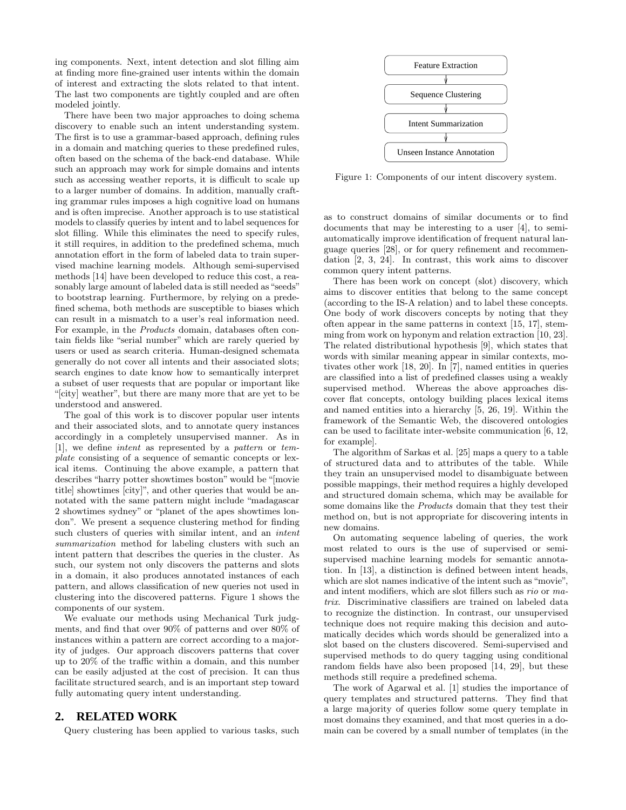ing components. Next, intent detection and slot filling aim at finding more fine-grained user intents within the domain of interest and extracting the slots related to that intent. The last two components are tightly coupled and are often modeled jointly.

There have been two major approaches to doing schema discovery to enable such an intent understanding system. The first is to use a grammar-based approach, defining rules in a domain and matching queries to these predefined rules, often based on the schema of the back-end database. While such an approach may work for simple domains and intents such as accessing weather reports, it is difficult to scale up to a larger number of domains. In addition, manually crafting grammar rules imposes a high cognitive load on humans and is often imprecise. Another approach is to use statistical models to classify queries by intent and to label sequences for slot filling. While this eliminates the need to specify rules, it still requires, in addition to the predefined schema, much annotation effort in the form of labeled data to train supervised machine learning models. Although semi-supervised methods [14] have been developed to reduce this cost, a reasonably large amount of labeled data is still needed as "seeds" to bootstrap learning. Furthermore, by relying on a predefined schema, both methods are susceptible to biases which can result in a mismatch to a user's real information need. For example, in the *Products* domain, databases often contain fields like "serial number" which are rarely queried by users or used as search criteria. Human-designed schemata generally do not cover all intents and their associated slots; search engines to date know how to semantically interpret a subset of user requests that are popular or important like "[city] weather", but there are many more that are yet to be understood and answered.

The goal of this work is to discover popular user intents and their associated slots, and to annotate query instances accordingly in a completely unsupervised manner. As in [1], we define intent as represented by a pattern or template consisting of a sequence of semantic concepts or lexical items. Continuing the above example, a pattern that describes "harry potter showtimes boston" would be "[movie title] showtimes [city]", and other queries that would be annotated with the same pattern might include "madagascar 2 showtimes sydney" or "planet of the apes showtimes london". We present a sequence clustering method for finding such clusters of queries with similar intent, and an intent summarization method for labeling clusters with such an intent pattern that describes the queries in the cluster. As such, our system not only discovers the patterns and slots in a domain, it also produces annotated instances of each pattern, and allows classification of new queries not used in clustering into the discovered patterns. Figure 1 shows the components of our system.

We evaluate our methods using Mechanical Turk judgments, and find that over 90% of patterns and over 80% of instances within a pattern are correct according to a majority of judges. Our approach discovers patterns that cover up to 20% of the traffic within a domain, and this number can be easily adjusted at the cost of precision. It can thus facilitate structured search, and is an important step toward fully automating query intent understanding.

## **2. RELATED WORK**

Query clustering has been applied to various tasks, such



Figure 1: Components of our intent discovery system.

as to construct domains of similar documents or to find documents that may be interesting to a user [4], to semiautomatically improve identification of frequent natural language queries [28], or for query refinement and recommendation [2, 3, 24]. In contrast, this work aims to discover common query intent patterns.

There has been work on concept (slot) discovery, which aims to discover entities that belong to the same concept (according to the IS-A relation) and to label these concepts. One body of work discovers concepts by noting that they often appear in the same patterns in context [15, 17], stemming from work on hyponym and relation extraction [10, 23]. The related distributional hypothesis [9], which states that words with similar meaning appear in similar contexts, motivates other work [18, 20]. In [7], named entities in queries are classified into a list of predefined classes using a weakly supervised method. Whereas the above approaches discover flat concepts, ontology building places lexical items and named entities into a hierarchy [5, 26, 19]. Within the framework of the Semantic Web, the discovered ontologies can be used to facilitate inter-website communication [6, 12, for example].

The algorithm of Sarkas et al. [25] maps a query to a table of structured data and to attributes of the table. While they train an unsupervised model to disambiguate between possible mappings, their method requires a highly developed and structured domain schema, which may be available for some domains like the *Products* domain that they test their method on, but is not appropriate for discovering intents in new domains.

On automating sequence labeling of queries, the work most related to ours is the use of supervised or semisupervised machine learning models for semantic annotation. In [13], a distinction is defined between intent heads, which are slot names indicative of the intent such as "movie", and intent modifiers, which are slot fillers such as rio or matrix. Discriminative classifiers are trained on labeled data to recognize the distinction. In contrast, our unsupervised technique does not require making this decision and automatically decides which words should be generalized into a slot based on the clusters discovered. Semi-supervised and supervised methods to do query tagging using conditional random fields have also been proposed [14, 29], but these methods still require a predefined schema.

The work of Agarwal et al. [1] studies the importance of query templates and structured patterns. They find that a large majority of queries follow some query template in most domains they examined, and that most queries in a domain can be covered by a small number of templates (in the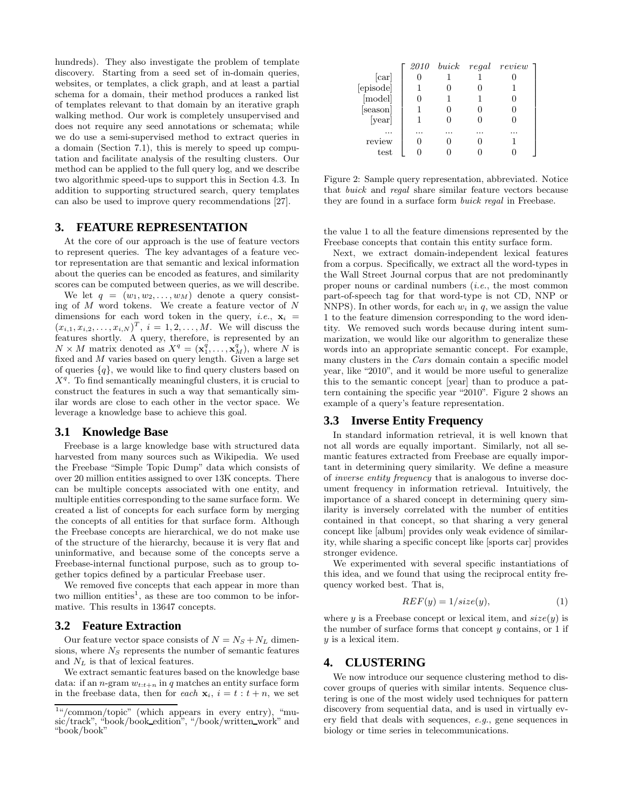hundreds). They also investigate the problem of template discovery. Starting from a seed set of in-domain queries, websites, or templates, a click graph, and at least a partial schema for a domain, their method produces a ranked list of templates relevant to that domain by an iterative graph walking method. Our work is completely unsupervised and does not require any seed annotations or schemata; while we do use a semi-supervised method to extract queries in a domain (Section 7.1), this is merely to speed up computation and facilitate analysis of the resulting clusters. Our method can be applied to the full query log, and we describe two algorithmic speed-ups to support this in Section 4.3. In addition to supporting structured search, query templates can also be used to improve query recommendations [27].

## **3. FEATURE REPRESENTATION**

At the core of our approach is the use of feature vectors to represent queries. The key advantages of a feature vector representation are that semantic and lexical information about the queries can be encoded as features, and similarity scores can be computed between queries, as we will describe.

We let  $q = (w_1, w_2, \ldots, w_M)$  denote a query consisting of  $M$  word tokens. We create a feature vector of  $N$ dimensions for each word token in the query, *i.e.*,  $\mathbf{x}_i$  =  $(x_{i,1}, x_{i,2}, \ldots, x_{i,N})^T$ ,  $i = 1, 2, \ldots, M$ . We will discuss the features shortly. A query, therefore, is represented by an  $N \times M$  matrix denoted as  $X^q = (\mathbf{x}_1^q, \dots, \mathbf{x}_M^q)$ , where N is fixed and  $M$  varies based on query length. Given a large set of queries  $\{q\}$ , we would like to find query clusters based on  $X<sup>q</sup>$ . To find semantically meaningful clusters, it is crucial to construct the features in such a way that semantically similar words are close to each other in the vector space. We leverage a knowledge base to achieve this goal.

#### **3.1 Knowledge Base**

Freebase is a large knowledge base with structured data harvested from many sources such as Wikipedia. We used the Freebase "Simple Topic Dump" data which consists of over 20 million entities assigned to over 13K concepts. There can be multiple concepts associated with one entity, and multiple entities corresponding to the same surface form. We created a list of concepts for each surface form by merging the concepts of all entities for that surface form. Although the Freebase concepts are hierarchical, we do not make use of the structure of the hierarchy, because it is very flat and uninformative, and because some of the concepts serve a Freebase-internal functional purpose, such as to group together topics defined by a particular Freebase user.

We removed five concepts that each appear in more than two million entities<sup>1</sup>, as these are too common to be informative. This results in 13647 concepts.

#### **3.2 Feature Extraction**

Our feature vector space consists of  $N = N_S + N_L$  dimensions, where  $N<sub>S</sub>$  represents the number of semantic features and  $N_L$  is that of lexical features.

We extract semantic features based on the knowledge base data: if an *n*-gram  $w_{t:t+n}$  in q matches an entity surface form in the freebase data, then for each  $x_i$ ,  $i = t : t + n$ , we set

|                                    |  | 2010 buick regal review $\vert$ |
|------------------------------------|--|---------------------------------|
| $\lceil \operatorname{car} \rceil$ |  |                                 |
| [episode]                          |  |                                 |
| [model]                            |  |                                 |
| [season]                           |  |                                 |
| [year]                             |  |                                 |
|                                    |  |                                 |
| review                             |  |                                 |
| test.                              |  |                                 |

Figure 2: Sample query representation, abbreviated. Notice that buick and regal share similar feature vectors because they are found in a surface form buick regal in Freebase.

the value 1 to all the feature dimensions represented by the Freebase concepts that contain this entity surface form.

Next, we extract domain-independent lexical features from a corpus. Specifically, we extract all the word-types in the Wall Street Journal corpus that are not predominantly proper nouns or cardinal numbers (i.e., the most common part-of-speech tag for that word-type is not CD, NNP or NNPS). In other words, for each  $w_i$  in q, we assign the value 1 to the feature dimension corresponding to the word identity. We removed such words because during intent summarization, we would like our algorithm to generalize these words into an appropriate semantic concept. For example, many clusters in the Cars domain contain a specific model year, like "2010", and it would be more useful to generalize this to the semantic concept [year] than to produce a pattern containing the specific year "2010". Figure 2 shows an example of a query's feature representation.

## **3.3 Inverse Entity Frequency**

In standard information retrieval, it is well known that not all words are equally important. Similarly, not all semantic features extracted from Freebase are equally important in determining query similarity. We define a measure of inverse entity frequency that is analogous to inverse document frequency in information retrieval. Intuitively, the importance of a shared concept in determining query similarity is inversely correlated with the number of entities contained in that concept, so that sharing a very general concept like [album] provides only weak evidence of similarity, while sharing a specific concept like [sports car] provides stronger evidence.

We experimented with several specific instantiations of this idea, and we found that using the reciprocal entity frequency worked best. That is,

$$
REF(y)=1/size(y), \qquad (1)
$$

where y is a Freebase concept or lexical item, and  $size(y)$  is the number of surface forms that concept  $y$  contains, or 1 if y is a lexical item.

#### **4. CLUSTERING**

We now introduce our sequence clustering method to discover groups of queries with similar intents. Sequence clustering is one of the most widely used techniques for pattern discovery from sequential data, and is used in virtually every field that deals with sequences, e.g., gene sequences in biology or time series in telecommunications.

<sup>&</sup>lt;sup>1</sup>"/common/topic" (which appears in every entry), "music/track", "book/book edition", "/book/written work" and "book/book"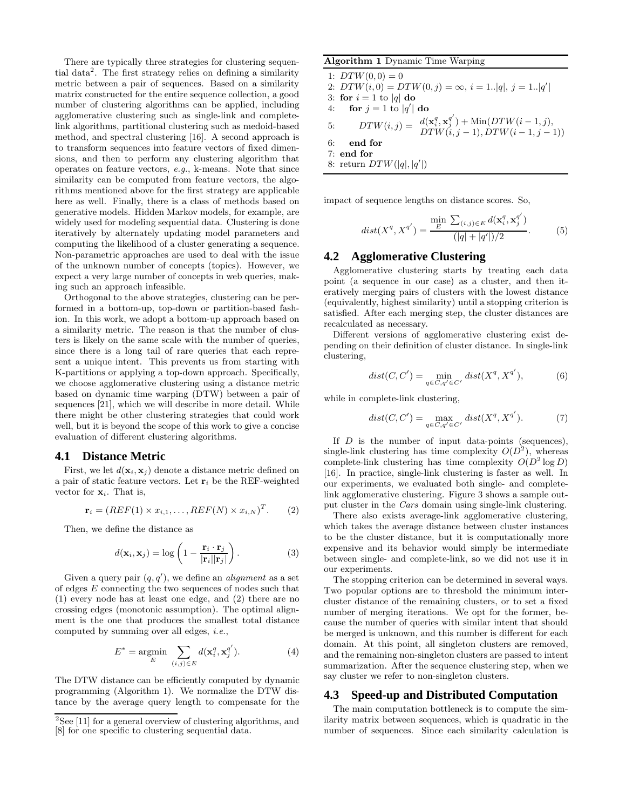There are typically three strategies for clustering sequential data<sup>2</sup>. The first strategy relies on defining a similarity metric between a pair of sequences. Based on a similarity matrix constructed for the entire sequence collection, a good number of clustering algorithms can be applied, including agglomerative clustering such as single-link and completelink algorithms, partitional clustering such as medoid-based method, and spectral clustering [16]. A second approach is to transform sequences into feature vectors of fixed dimensions, and then to perform any clustering algorithm that operates on feature vectors, e.g., k-means. Note that since similarity can be computed from feature vectors, the algorithms mentioned above for the first strategy are applicable here as well. Finally, there is a class of methods based on generative models. Hidden Markov models, for example, are widely used for modeling sequential data. Clustering is done iteratively by alternately updating model parameters and computing the likelihood of a cluster generating a sequence. Non-parametric approaches are used to deal with the issue of the unknown number of concepts (topics). However, we expect a very large number of concepts in web queries, making such an approach infeasible.

Orthogonal to the above strategies, clustering can be performed in a bottom-up, top-down or partition-based fashion. In this work, we adopt a bottom-up approach based on a similarity metric. The reason is that the number of clusters is likely on the same scale with the number of queries, since there is a long tail of rare queries that each represent a unique intent. This prevents us from starting with K-partitions or applying a top-down approach. Specifically, we choose agglomerative clustering using a distance metric based on dynamic time warping (DTW) between a pair of sequences [21], which we will describe in more detail. While there might be other clustering strategies that could work well, but it is beyond the scope of this work to give a concise evaluation of different clustering algorithms.

### **4.1 Distance Metric**

First, we let  $d(\mathbf{x}_i, \mathbf{x}_j)$  denote a distance metric defined on a pair of static feature vectors. Let  $r_i$  be the REF-weighted vector for  $\mathbf{x}_i$ . That is,

$$
\mathbf{r}_i = \left(REF(1)\times x_{i,1},\ldots,REF(N)\times x_{i,N}\right)^T.
$$
 (2)

Then, we define the distance as

$$
d(\mathbf{x}_i, \mathbf{x}_j) = \log \left( 1 - \frac{\mathbf{r}_i \cdot \mathbf{r}_j}{|\mathbf{r}_i||\mathbf{r}_j|} \right). \tag{3}
$$

Given a query pair  $(q, q')$ , we define an *alignment* as a set of edges E connecting the two sequences of nodes such that (1) every node has at least one edge, and (2) there are no crossing edges (monotonic assumption). The optimal alignment is the one that produces the smallest total distance computed by summing over all edges, i.e.,

$$
E^* = \underset{E}{\text{argmin}} \sum_{(i,j) \in E} d(\mathbf{x}_i^q, \mathbf{x}_j^{q'}).
$$
 (4)

The DTW distance can be efficiently computed by dynamic programming (Algorithm 1). We normalize the DTW distance by the average query length to compensate for the

#### Algorithm 1 Dynamic Time Warping

1:  $DTW(0,0) = 0$ 2:  $DTW(i, 0) = DTW(0, j) = \infty$ ,  $i = 1..|q|$ ,  $j = 1..|q'|$ 3: for  $i = 1$  to |q| do 4: for  $j = 1$  to  $|q'|$  do 5:  $DTW(i, j) = \frac{d(\mathbf{x}_i^q, \mathbf{x}_j^{q'})}{DTW(i, j)}$  $j_j^q$  ) + Min( $DTW(i-1,j)$ ,  $DTW(i, j - 1), DTW(i - 1, j - 1))$ 6: end for 7: end for 8: return  $DTW(|q|, |q'|)$ 

impact of sequence lengths on distance scores. So,

$$
dist(X^{q}, X^{q'}) = \frac{\min_{E} \sum_{(i,j) \in E} d(\mathbf{x}_{i}^{q}, \mathbf{x}_{j}^{q'})}{(|q| + |q'|)/2}.
$$
 (5)

′

## **4.2 Agglomerative Clustering**

Agglomerative clustering starts by treating each data point (a sequence in our case) as a cluster, and then iteratively merging pairs of clusters with the lowest distance (equivalently, highest similarity) until a stopping criterion is satisfied. After each merging step, the cluster distances are recalculated as necessary.

Different versions of agglomerative clustering exist depending on their definition of cluster distance. In single-link clustering,

$$
dist(C, C') = \min_{q \in C, q' \in C'} dist(X^q, X^{q'}),
$$
 (6)

while in complete-link clustering,

$$
dist(C, C') = \max_{q \in C, q' \in C'} dist(X^q, X^{q'}).
$$
 (7)

If  $D$  is the number of input data-points (sequences), single-link clustering has time complexity  $O(D^2)$ , whereas complete-link clustering has time complexity  $O(D^2 \log D)$ [16]. In practice, single-link clustering is faster as well. In our experiments, we evaluated both single- and completelink agglomerative clustering. Figure 3 shows a sample output cluster in the Cars domain using single-link clustering.

There also exists average-link agglomerative clustering, which takes the average distance between cluster instances to be the cluster distance, but it is computationally more expensive and its behavior would simply be intermediate between single- and complete-link, so we did not use it in our experiments.

The stopping criterion can be determined in several ways. Two popular options are to threshold the minimum intercluster distance of the remaining clusters, or to set a fixed number of merging iterations. We opt for the former, because the number of queries with similar intent that should be merged is unknown, and this number is different for each domain. At this point, all singleton clusters are removed, and the remaining non-singleton clusters are passed to intent summarization. After the sequence clustering step, when we say cluster we refer to non-singleton clusters.

#### **4.3 Speed-up and Distributed Computation**

The main computation bottleneck is to compute the similarity matrix between sequences, which is quadratic in the number of sequences. Since each similarity calculation is

<sup>&</sup>lt;sup>2</sup>See [11] for a general overview of clustering algorithms, and [8] for one specific to clustering sequential data.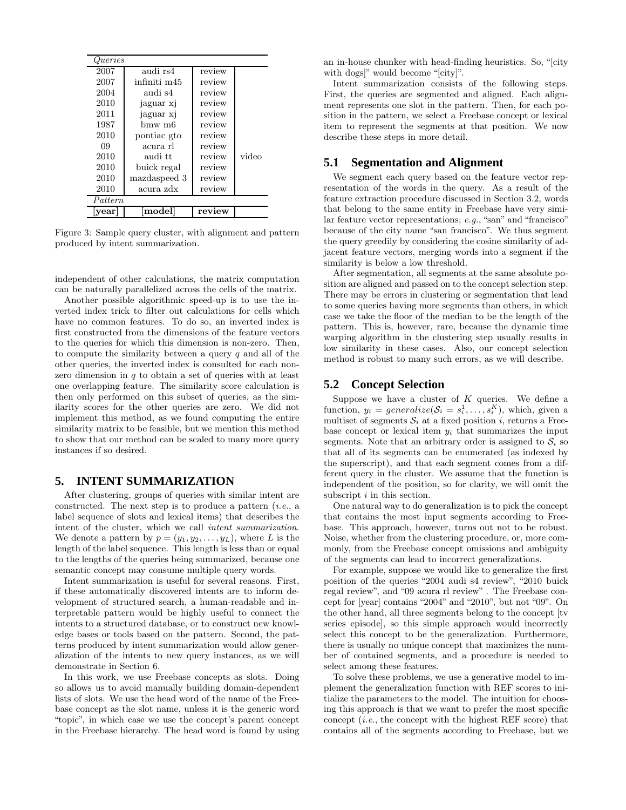| $\it{Queries}$ |              |        |       |
|----------------|--------------|--------|-------|
| 2007           | audi rs4     | review |       |
| 2007           | infiniti m45 | review |       |
| 2004           | audi s4      | review |       |
| 2010           | jaguar xj    | review |       |
| 2011           | jaguar xi    | review |       |
| 1987           | bmw m6       | review |       |
| 2010           | pontiac gto  | review |       |
| 09             | acura rl     | review |       |
| 2010           | audi tt      | review | video |
| 2010           | buick regal  | review |       |
| 2010           | mazdaspeed 3 | review |       |
| 2010           | acura zdx    | review |       |
| Pattern        |              |        |       |
| year           | modell       | review |       |

Figure 3: Sample query cluster, with alignment and pattern produced by intent summarization.

independent of other calculations, the matrix computation can be naturally parallelized across the cells of the matrix.

Another possible algorithmic speed-up is to use the inverted index trick to filter out calculations for cells which have no common features. To do so, an inverted index is first constructed from the dimensions of the feature vectors to the queries for which this dimension is non-zero. Then, to compute the similarity between a query  $q$  and all of the other queries, the inverted index is consulted for each nonzero dimension in  $q$  to obtain a set of queries with at least one overlapping feature. The similarity score calculation is then only performed on this subset of queries, as the similarity scores for the other queries are zero. We did not implement this method, as we found computing the entire similarity matrix to be feasible, but we mention this method to show that our method can be scaled to many more query instances if so desired.

## **5. INTENT SUMMARIZATION**

After clustering, groups of queries with similar intent are constructed. The next step is to produce a pattern  $(i.e., a$ label sequence of slots and lexical items) that describes the intent of the cluster, which we call intent summarization. We denote a pattern by  $p = (y_1, y_2, \dots, y_L)$ , where L is the length of the label sequence. This length is less than or equal to the lengths of the queries being summarized, because one semantic concept may consume multiple query words.

Intent summarization is useful for several reasons. First, if these automatically discovered intents are to inform development of structured search, a human-readable and interpretable pattern would be highly useful to connect the intents to a structured database, or to construct new knowledge bases or tools based on the pattern. Second, the patterns produced by intent summarization would allow generalization of the intents to new query instances, as we will demonstrate in Section 6.

In this work, we use Freebase concepts as slots. Doing so allows us to avoid manually building domain-dependent lists of slots. We use the head word of the name of the Freebase concept as the slot name, unless it is the generic word "topic", in which case we use the concept's parent concept in the Freebase hierarchy. The head word is found by using an in-house chunker with head-finding heuristics. So, "[city with dogs]" would become "[city]".

Intent summarization consists of the following steps. First, the queries are segmented and aligned. Each alignment represents one slot in the pattern. Then, for each position in the pattern, we select a Freebase concept or lexical item to represent the segments at that position. We now describe these steps in more detail.

## **5.1 Segmentation and Alignment**

We segment each query based on the feature vector representation of the words in the query. As a result of the feature extraction procedure discussed in Section 3.2, words that belong to the same entity in Freebase have very similar feature vector representations; e.g., "san" and "francisco" because of the city name "san francisco". We thus segment the query greedily by considering the cosine similarity of adjacent feature vectors, merging words into a segment if the similarity is below a low threshold.

After segmentation, all segments at the same absolute position are aligned and passed on to the concept selection step. There may be errors in clustering or segmentation that lead to some queries having more segments than others, in which case we take the floor of the median to be the length of the pattern. This is, however, rare, because the dynamic time warping algorithm in the clustering step usually results in low similarity in these cases. Also, our concept selection method is robust to many such errors, as we will describe.

#### **5.2 Concept Selection**

Suppose we have a cluster of  $K$  queries. We define a function,  $y_i = generalize(\mathcal{S}_i = s_i^1, \ldots, s_i^K)$ , which, given a multiset of segments  $S_i$  at a fixed position i, returns a Freebase concept or lexical item  $y_i$  that summarizes the input segments. Note that an arbitrary order is assigned to  $S_i$  so that all of its segments can be enumerated (as indexed by the superscript), and that each segment comes from a different query in the cluster. We assume that the function is independent of the position, so for clarity, we will omit the subscript  $i$  in this section.

One natural way to do generalization is to pick the concept that contains the most input segments according to Freebase. This approach, however, turns out not to be robust. Noise, whether from the clustering procedure, or, more commonly, from the Freebase concept omissions and ambiguity of the segments can lead to incorrect generalizations.

For example, suppose we would like to generalize the first position of the queries "2004 audi s4 review", "2010 buick regal review", and "09 acura rl review" . The Freebase concept for [year] contains "2004" and "2010", but not "09". On the other hand, all three segments belong to the concept [tv series episode], so this simple approach would incorrectly select this concept to be the generalization. Furthermore, there is usually no unique concept that maximizes the number of contained segments, and a procedure is needed to select among these features.

To solve these problems, we use a generative model to implement the generalization function with REF scores to initialize the parameters to the model. The intuition for choosing this approach is that we want to prefer the most specific concept (i.e., the concept with the highest REF score) that contains all of the segments according to Freebase, but we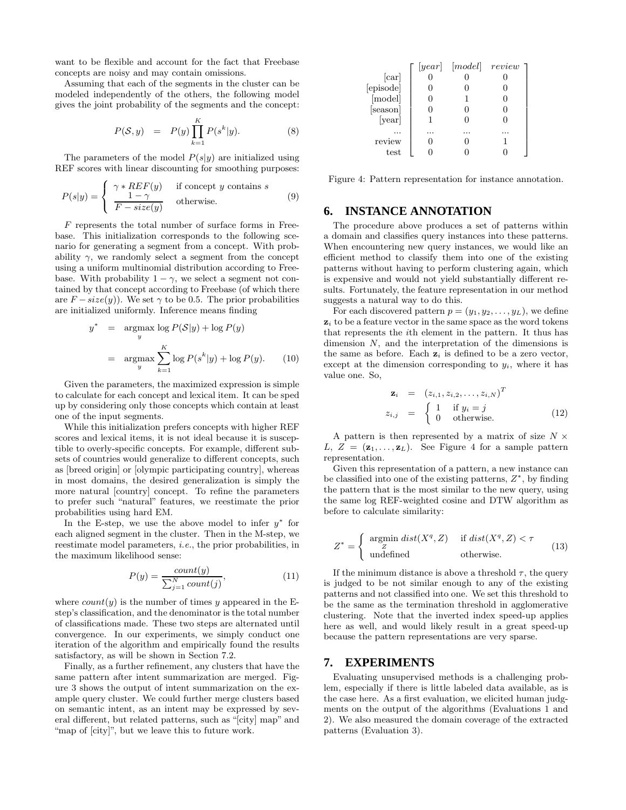want to be flexible and account for the fact that Freebase concepts are noisy and may contain omissions.

Assuming that each of the segments in the cluster can be modeled independently of the others, the following model gives the joint probability of the segments and the concept:

$$
P(S,y) = P(y) \prod_{k=1}^{K} P(s^k | y).
$$
 (8)

The parameters of the model  $P(s|y)$  are initialized using REF scores with linear discounting for smoothing purposes:

$$
P(s|y) = \begin{cases} \gamma * REF(y) & \text{if concept } y \text{ contains } s \\ \frac{1-\gamma}{F - size(y)} & \text{otherwise.} \end{cases}
$$
(9)

F represents the total number of surface forms in Freebase. This initialization corresponds to the following scenario for generating a segment from a concept. With probability  $\gamma$ , we randomly select a segment from the concept using a uniform multinomial distribution according to Freebase. With probability  $1 - \gamma$ , we select a segment not contained by that concept according to Freebase (of which there are  $F - size(y)$ ). We set  $\gamma$  to be 0.5. The prior probabilities are initialized uniformly. Inference means finding

$$
y^* = \underset{y}{\operatorname{argmax}} \log P(S|y) + \log P(y)
$$

$$
= \underset{y}{\operatorname{argmax}} \sum_{k=1}^{K} \log P(s^k|y) + \log P(y). \qquad (10)
$$

Given the parameters, the maximized expression is simple to calculate for each concept and lexical item. It can be sped up by considering only those concepts which contain at least one of the input segments.

While this initialization prefers concepts with higher REF scores and lexical items, it is not ideal because it is susceptible to overly-specific concepts. For example, different subsets of countries would generalize to different concepts, such as [breed origin] or [olympic participating country], whereas in most domains, the desired generalization is simply the more natural [country] concept. To refine the parameters to prefer such "natural" features, we reestimate the prior probabilities using hard EM.

In the E-step, we use the above model to infer  $y^*$  for each aligned segment in the cluster. Then in the M-step, we reestimate model parameters, i.e., the prior probabilities, in the maximum likelihood sense:

$$
P(y) = \frac{count(y)}{\sum_{j=1}^{N} count(j)},
$$
\n(11)

where  $count(y)$  is the number of times y appeared in the Estep's classification, and the denominator is the total number of classifications made. These two steps are alternated until convergence. In our experiments, we simply conduct one iteration of the algorithm and empirically found the results satisfactory, as will be shown in Section 7.2.

Finally, as a further refinement, any clusters that have the same pattern after intent summarization are merged. Figure 3 shows the output of intent summarization on the example query cluster. We could further merge clusters based on semantic intent, as an intent may be expressed by several different, but related patterns, such as "[city] map" and "map of  $[city]$ ", but we leave this to future work.

|           |   | $ year  \quad  model $ | review 7 |
|-----------|---|------------------------|----------|
| car       |   |                        |          |
| [episode] | 0 |                        |          |
| [model]   | 0 | 1                      |          |
| [season]  |   | 0                      |          |
| [year]    |   |                        |          |
|           |   |                        |          |
| review    |   |                        |          |
| test      |   |                        |          |

Figure 4: Pattern representation for instance annotation.

## **6. INSTANCE ANNOTATION**

The procedure above produces a set of patterns within a domain and classifies query instances into these patterns. When encountering new query instances, we would like an efficient method to classify them into one of the existing patterns without having to perform clustering again, which is expensive and would not yield substantially different results. Fortunately, the feature representation in our method suggests a natural way to do this.

For each discovered pattern  $p = (y_1, y_2, \dots, y_L)$ , we define  $z<sub>i</sub>$  to be a feature vector in the same space as the word tokens that represents the ith element in the pattern. It thus has dimension N, and the interpretation of the dimensions is the same as before. Each  $z_i$  is defined to be a zero vector, except at the dimension corresponding to  $y_i$ , where it has value one. So,

$$
\mathbf{z}_{i} = (z_{i,1}, z_{i,2}, \dots, z_{i,N})^{T}
$$
  
\n
$$
z_{i,j} = \begin{cases} 1 & \text{if } y_{i} = j \\ 0 & \text{otherwise.} \end{cases}
$$
 (12)

A pattern is then represented by a matrix of size  $N \times$ L,  $Z = (\mathbf{z}_1, \ldots, \mathbf{z}_L)$ . See Figure 4 for a sample pattern representation.

Given this representation of a pattern, a new instance can be classified into one of the existing patterns,  $Z^*$ , by finding the pattern that is the most similar to the new query, using the same log REF-weighted cosine and DTW algorithm as before to calculate similarity:

$$
Z^* = \begin{cases} \text{argmin } dist(X^q, Z) & \text{if } dist(X^q, Z) < \tau \\ \text{undefined} & \text{otherwise.} \end{cases} \tag{13}
$$

If the minimum distance is above a threshold  $\tau$ , the query is judged to be not similar enough to any of the existing patterns and not classified into one. We set this threshold to be the same as the termination threshold in agglomerative clustering. Note that the inverted index speed-up applies here as well, and would likely result in a great speed-up because the pattern representations are very sparse.

## **7. EXPERIMENTS**

Evaluating unsupervised methods is a challenging problem, especially if there is little labeled data available, as is the case here. As a first evaluation, we elicited human judgments on the output of the algorithms (Evaluations 1 and 2). We also measured the domain coverage of the extracted patterns (Evaluation 3).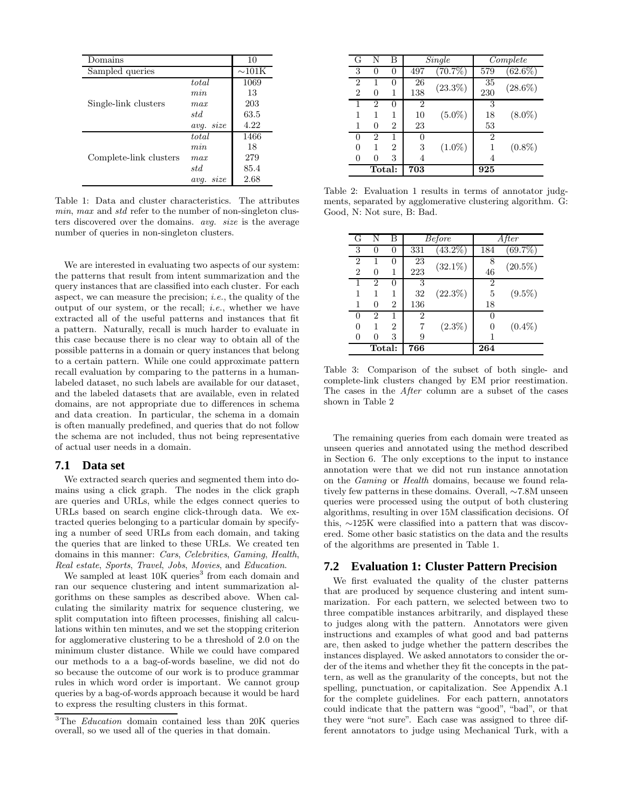| Domains                |              | 10          |
|------------------------|--------------|-------------|
| Sampled queries        |              | $\sim$ 101K |
|                        | <i>total</i> | 1069        |
|                        | min          | 13          |
| Single-link clusters   | max          | 203         |
|                        | std          | 63.5        |
|                        | size<br>avq. | 4.22        |
|                        | total        | 1466        |
|                        | min          | 18          |
| Complete-link clusters | max          | 279         |
|                        | std          | 85.4        |
|                        | size<br>avq. | 2.68        |

Table 1: Data and cluster characteristics. The attributes min, max and std refer to the number of non-singleton clusters discovered over the domains. avg. size is the average number of queries in non-singleton clusters.

We are interested in evaluating two aspects of our system: the patterns that result from intent summarization and the query instances that are classified into each cluster. For each aspect, we can measure the precision; *i.e.*, the quality of the output of our system, or the recall; *i.e.*, whether we have extracted all of the useful patterns and instances that fit a pattern. Naturally, recall is much harder to evaluate in this case because there is no clear way to obtain all of the possible patterns in a domain or query instances that belong to a certain pattern. While one could approximate pattern recall evaluation by comparing to the patterns in a humanlabeled dataset, no such labels are available for our dataset, and the labeled datasets that are available, even in related domains, are not appropriate due to differences in schema and data creation. In particular, the schema in a domain is often manually predefined, and queries that do not follow the schema are not included, thus not being representative of actual user needs in a domain.

## **7.1 Data set**

We extracted search queries and segmented them into domains using a click graph. The nodes in the click graph are queries and URLs, while the edges connect queries to URLs based on search engine click-through data. We extracted queries belonging to a particular domain by specifying a number of seed URLs from each domain, and taking the queries that are linked to these URLs. We created ten domains in this manner: Cars, Celebrities, Gaming, Health, Real estate, Sports, Travel, Jobs, Movies, and Education.

We sampled at least  $10K$  queries<sup>3</sup> from each domain and ran our sequence clustering and intent summarization algorithms on these samples as described above. When calculating the similarity matrix for sequence clustering, we split computation into fifteen processes, finishing all calculations within ten minutes, and we set the stopping criterion for agglomerative clustering to be a threshold of 2.0 on the minimum cluster distance. While we could have compared our methods to a a bag-of-words baseline, we did not do so because the outcome of our work is to produce grammar rules in which word order is important. We cannot group queries by a bag-of-words approach because it would be hard to express the resulting clusters in this format.

| G              | N              | В              |     | Single     |                | Complete   |
|----------------|----------------|----------------|-----|------------|----------------|------------|
| 3              | 0              | $\theta$       | 497 | $(70.7\%)$ | 579            | $(62.6\%)$ |
| 2              | 1              | $\mathbf{0}$   | 26  | $(23.3\%)$ | 35             | $(28.6\%)$ |
| $\overline{2}$ | 0              | 1              | 138 |            | 230            |            |
| 1              | $\overline{2}$ | $\mathbf{0}$   | 2   |            | 3              |            |
|                | 1              | 1              | 10  | $(5.0\%)$  | 18             | $(8.0\%)$  |
|                | 0              | $\overline{2}$ | 23  |            | 53             |            |
| $\mathcal{O}$  | 2              | 1              | 0   |            | $\overline{2}$ |            |
| $\theta$       | 1              | $\overline{2}$ | 3   | $(1.0\%)$  |                | $(0.8\%)$  |
| 0              | 0              | 3              | 4   |            | 4              |            |
|                | Total:         |                | 703 |            | 925            |            |

Table 2: Evaluation 1 results in terms of annotator judgments, separated by agglomerative clustering algorithm. G: Good, N: Not sure, B: Bad.

| G              | N      | В              |     | <i>Before</i>   |     | <i>After</i> |
|----------------|--------|----------------|-----|-----------------|-----|--------------|
| 3              | 0      | 0              | 331 | $\sqrt{43.2\%}$ | 184 | $(69.7\%)$   |
| $\overline{2}$ |        | $\mathbf{0}$   | 23  | $(32.1\%)$      | 8   | $(20.5\%)$   |
| $\overline{2}$ | 0      | 1              | 223 |                 | 46  |              |
|                | 2      | 0              | 3   |                 | 2   |              |
|                | 1      | 1              | 32  | $(22.3\%)$      | 5   | $(9.5\%)$    |
| 1              | 0      | $\overline{2}$ | 136 |                 | 18  |              |
| $\theta$       | 2      | 1              | 2   |                 | 0   |              |
| 0              | 1      | $\overline{2}$ |     | $(2.3\%)$       | 0   | $(0.4\%)$    |
| 0              | 0      | 3              | 9   |                 |     |              |
|                | Total: |                | 766 |                 | 264 |              |

Table 3: Comparison of the subset of both single- and complete-link clusters changed by EM prior reestimation. The cases in the After column are a subset of the cases shown in Table 2

The remaining queries from each domain were treated as unseen queries and annotated using the method described in Section 6. The only exceptions to the input to instance annotation were that we did not run instance annotation on the Gaming or Health domains, because we found relatively few patterns in these domains. Overall, ∼7.8M unseen queries were processed using the output of both clustering algorithms, resulting in over 15M classification decisions. Of this, ∼125K were classified into a pattern that was discovered. Some other basic statistics on the data and the results of the algorithms are presented in Table 1.

#### **7.2 Evaluation 1: Cluster Pattern Precision**

We first evaluated the quality of the cluster patterns that are produced by sequence clustering and intent summarization. For each pattern, we selected between two to three compatible instances arbitrarily, and displayed these to judges along with the pattern. Annotators were given instructions and examples of what good and bad patterns are, then asked to judge whether the pattern describes the instances displayed. We asked annotators to consider the order of the items and whether they fit the concepts in the pattern, as well as the granularity of the concepts, but not the spelling, punctuation, or capitalization. See Appendix A.1 for the complete guidelines. For each pattern, annotators could indicate that the pattern was "good", "bad", or that they were "not sure". Each case was assigned to three different annotators to judge using Mechanical Turk, with a

 $3$ The *Education* domain contained less than 20K queries overall, so we used all of the queries in that domain.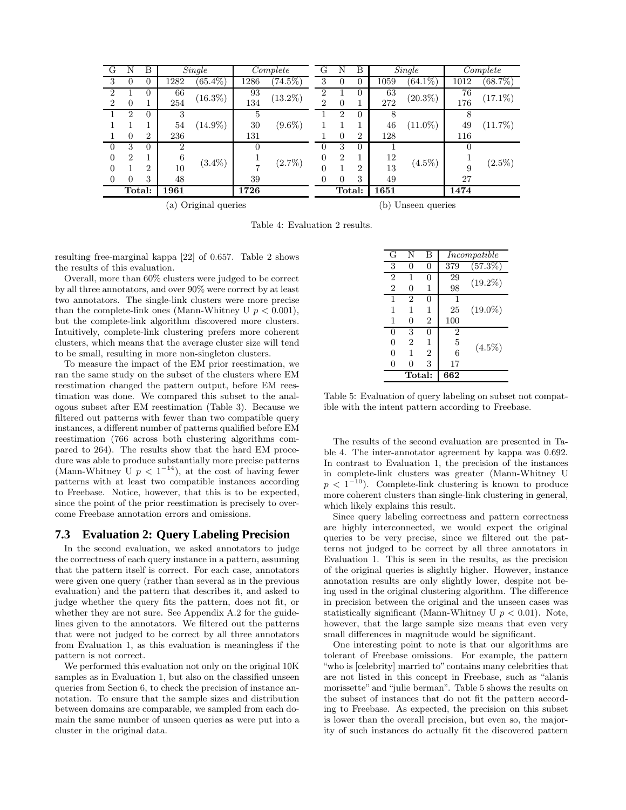| G                           | N                           | B              |                | $\overline{Single}$  |          | $Comp\overline{lete}$ | G              | N                           | В              |      | $\overline{Single}$ |      | Complete   |
|-----------------------------|-----------------------------|----------------|----------------|----------------------|----------|-----------------------|----------------|-----------------------------|----------------|------|---------------------|------|------------|
| 3                           | $\overline{0}$              | $\theta$       | 1282           | $(65.4\%)$           | 1286     | $(74.5\%)$            | 3              | 0                           | $\theta$       | 1059 | $(64.1\%)$          | 1012 | $(68.7\%)$ |
| $\mathcal{D}$               |                             | $\theta$       | 66             | $(16.3\%)$           | 93       | $(13.2\%)$            | $\overline{2}$ |                             | $\theta$       | 63   | $(20.3\%)$          | 76   | $(17.1\%)$ |
| $\mathcal{D}_{\mathcal{L}}$ | $\Omega$                    |                | 254            |                      | 134      |                       | $\overline{2}$ | 0                           | 1              | 272  |                     | 176  |            |
|                             | 2                           | $\overline{0}$ | 3              |                      | 5        |                       |                | $\mathcal{D}_{\mathcal{L}}$ | $\theta$       | 8    |                     | 8    |            |
|                             |                             |                | 54             | $(14.9\%)$           | 30       | $(9.6\%)$             |                |                             | 1              | 46   | $(11.0\%)$          | 49   | $(11.7\%)$ |
|                             | $\theta$                    | $\overline{2}$ | 236            |                      | 131      |                       |                | 0                           | $\overline{2}$ | 128  |                     | 116  |            |
| $\Omega$                    | 3                           | $\theta$       | $\overline{2}$ |                      | $\Omega$ |                       |                | 3                           | $\theta$       |      |                     |      |            |
| 0                           | $\mathcal{D}_{\mathcal{L}}$ |                | 6              | $(3.4\%)$            |          | $(2.7\%)$             |                | $\mathcal{D}_{\mathcal{L}}$ | 1              | 12   | $(4.5\%)$           |      | $(2.5\%)$  |
| 0                           |                             | $\overline{2}$ | 10             |                      |          |                       | 0              |                             | $\overline{2}$ | 13   |                     | 9    |            |
| $\Omega$                    | 0                           | 3              | 48             |                      | 39       |                       |                | 0                           | 3              | 49   |                     | 27   |            |
|                             | Total:                      |                | 1961           |                      | 1726     |                       |                |                             | Total:         | 1651 |                     | 1474 |            |
|                             |                             |                |                | (a) Original queries |          |                       |                |                             |                |      | (b) Unseen queries  |      |            |

Table 4: Evaluation 2 results.

resulting free-marginal kappa [22] of 0.657. Table 2 shows the results of this evaluation.

Overall, more than 60% clusters were judged to be correct by all three annotators, and over 90% were correct by at least two annotators. The single-link clusters were more precise than the complete-link ones (Mann-Whitney U  $p < 0.001$ ), but the complete-link algorithm discovered more clusters. Intuitively, complete-link clustering prefers more coherent clusters, which means that the average cluster size will tend to be small, resulting in more non-singleton clusters.

To measure the impact of the EM prior reestimation, we ran the same study on the subset of the clusters where EM reestimation changed the pattern output, before EM reestimation was done. We compared this subset to the analogous subset after EM reestimation (Table 3). Because we filtered out patterns with fewer than two compatible query instances, a different number of patterns qualified before EM reestimation (766 across both clustering algorithms compared to 264). The results show that the hard EM procedure was able to produce substantially more precise patterns (Mann-Whitney U  $p < 1^{-14}$ ), at the cost of having fewer patterns with at least two compatible instances according to Freebase. Notice, however, that this is to be expected, since the point of the prior reestimation is precisely to overcome Freebase annotation errors and omissions.

## **7.3 Evaluation 2: Query Labeling Precision**

In the second evaluation, we asked annotators to judge the correctness of each query instance in a pattern, assuming that the pattern itself is correct. For each case, annotators were given one query (rather than several as in the previous evaluation) and the pattern that describes it, and asked to judge whether the query fits the pattern, does not fit, or whether they are not sure. See Appendix A.2 for the guidelines given to the annotators. We filtered out the patterns that were not judged to be correct by all three annotators from Evaluation 1, as this evaluation is meaningless if the pattern is not correct.

We performed this evaluation not only on the original 10K samples as in Evaluation 1, but also on the classified unseen queries from Section 6, to check the precision of instance annotation. To ensure that the sample sizes and distribution between domains are comparable, we sampled from each domain the same number of unseen queries as were put into a cluster in the original data.

| G              | N                 | в              |                | Incompatible |
|----------------|-------------------|----------------|----------------|--------------|
| 3              | $\mathbf{\Omega}$ | 0              | 379            | $(57.3\%)$   |
| $\overline{2}$ | 1                 | 0              | 29             | $(19.2\%)$   |
| $\overline{2}$ | 0                 | 1              | 98             |              |
| 1              | $\overline{2}$    | O              | 1              |              |
| 1              | 1                 | 1              | 25             | $(19.0\%)$   |
| 1              | 0                 | $\overline{2}$ | 100            |              |
| O              | 3                 | 0              | $\overline{2}$ |              |
| 0              | $\overline{2}$    | 1              | 5              |              |
| 0              | 1                 | $\overline{2}$ | 6              | $(4.5\%)$    |
| 0              | 0                 | 3              | 17             |              |
|                | Total:            |                | 662            |              |

Table 5: Evaluation of query labeling on subset not compatible with the intent pattern according to Freebase.

The results of the second evaluation are presented in Table 4. The inter-annotator agreement by kappa was 0.692. In contrast to Evaluation 1, the precision of the instances in complete-link clusters was greater (Mann-Whitney U  $p < 1^{-10}$ ). Complete-link clustering is known to produce more coherent clusters than single-link clustering in general, which likely explains this result.

Since query labeling correctness and pattern correctness are highly interconnected, we would expect the original queries to be very precise, since we filtered out the patterns not judged to be correct by all three annotators in Evaluation 1. This is seen in the results, as the precision of the original queries is slightly higher. However, instance annotation results are only slightly lower, despite not being used in the original clustering algorithm. The difference in precision between the original and the unseen cases was statistically significant (Mann-Whitney U  $p < 0.01$ ). Note, however, that the large sample size means that even very small differences in magnitude would be significant.

One interesting point to note is that our algorithms are tolerant of Freebase omissions. For example, the pattern "who is [celebrity] married to" contains many celebrities that are not listed in this concept in Freebase, such as "alanis morissette" and "julie berman". Table 5 shows the results on the subset of instances that do not fit the pattern according to Freebase. As expected, the precision on this subset is lower than the overall precision, but even so, the majority of such instances do actually fit the discovered pattern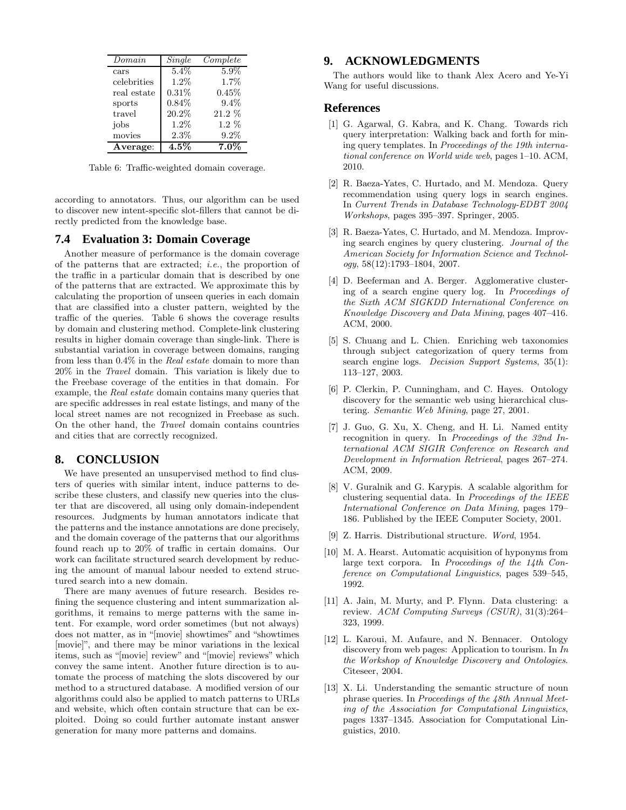| Domain      | $\overline{Single}$ | Complete |
|-------------|---------------------|----------|
| cars        | $5.4\%$             | $5.9\%$  |
| celebrities | $1.2\%$             | 1.7%     |
| real estate | $0.31\%$            | 0.45%    |
| sports      | $0.84\%$            | $9.4\%$  |
| travel      | 20.2%               | $21.2\%$ |
| jobs        | $1.2\%$             | $1.2\%$  |
| movies      | 2.3%                | $9.2\%$  |
| Average:    | $4.5\%$             | $7.0\%$  |

Table 6: Traffic-weighted domain coverage.

according to annotators. Thus, our algorithm can be used to discover new intent-specific slot-fillers that cannot be directly predicted from the knowledge base.

#### **7.4 Evaluation 3: Domain Coverage**

Another measure of performance is the domain coverage of the patterns that are extracted; i.e., the proportion of the traffic in a particular domain that is described by one of the patterns that are extracted. We approximate this by calculating the proportion of unseen queries in each domain that are classified into a cluster pattern, weighted by the traffic of the queries. Table 6 shows the coverage results by domain and clustering method. Complete-link clustering results in higher domain coverage than single-link. There is substantial variation in coverage between domains, ranging from less than 0.4% in the Real estate domain to more than 20% in the Travel domain. This variation is likely due to the Freebase coverage of the entities in that domain. For example, the Real estate domain contains many queries that are specific addresses in real estate listings, and many of the local street names are not recognized in Freebase as such. On the other hand, the Travel domain contains countries and cities that are correctly recognized.

## **8. CONCLUSION**

We have presented an unsupervised method to find clusters of queries with similar intent, induce patterns to describe these clusters, and classify new queries into the cluster that are discovered, all using only domain-independent resources. Judgments by human annotators indicate that the patterns and the instance annotations are done precisely, and the domain coverage of the patterns that our algorithms found reach up to 20% of traffic in certain domains. Our work can facilitate structured search development by reducing the amount of manual labour needed to extend structured search into a new domain.

There are many avenues of future research. Besides refining the sequence clustering and intent summarization algorithms, it remains to merge patterns with the same intent. For example, word order sometimes (but not always) does not matter, as in "[movie] showtimes" and "showtimes [movie]", and there may be minor variations in the lexical items, such as "[movie] review" and "[movie] reviews" which convey the same intent. Another future direction is to automate the process of matching the slots discovered by our method to a structured database. A modified version of our algorithms could also be applied to match patterns to URLs and website, which often contain structure that can be exploited. Doing so could further automate instant answer generation for many more patterns and domains.

# **9. ACKNOWLEDGMENTS**

The authors would like to thank Alex Acero and Ye-Yi Wang for useful discussions.

#### **References**

- [1] G. Agarwal, G. Kabra, and K. Chang. Towards rich query interpretation: Walking back and forth for mining query templates. In Proceedings of the 19th international conference on World wide web, pages 1–10. ACM, 2010.
- [2] R. Baeza-Yates, C. Hurtado, and M. Mendoza. Query recommendation using query logs in search engines. In Current Trends in Database Technology-EDBT 2004 Workshops, pages 395–397. Springer, 2005.
- [3] R. Baeza-Yates, C. Hurtado, and M. Mendoza. Improving search engines by query clustering. Journal of the American Society for Information Science and Technology, 58(12):1793–1804, 2007.
- [4] D. Beeferman and A. Berger. Agglomerative clustering of a search engine query log. In Proceedings of the Sixth ACM SIGKDD International Conference on Knowledge Discovery and Data Mining, pages 407–416. ACM, 2000.
- [5] S. Chuang and L. Chien. Enriching web taxonomies through subject categorization of query terms from search engine logs. *Decision Support Systems*, 35(1): 113–127, 2003.
- [6] P. Clerkin, P. Cunningham, and C. Hayes. Ontology discovery for the semantic web using hierarchical clustering. Semantic Web Mining, page 27, 2001.
- [7] J. Guo, G. Xu, X. Cheng, and H. Li. Named entity recognition in query. In Proceedings of the 32nd International ACM SIGIR Conference on Research and Development in Information Retrieval, pages 267–274. ACM, 2009.
- [8] V. Guralnik and G. Karypis. A scalable algorithm for clustering sequential data. In Proceedings of the IEEE International Conference on Data Mining, pages 179– 186. Published by the IEEE Computer Society, 2001.
- [9] Z. Harris. Distributional structure. Word, 1954.
- [10] M. A. Hearst. Automatic acquisition of hyponyms from large text corpora. In Proceedings of the 14th Conference on Computational Linguistics, pages 539–545, 1992.
- [11] A. Jain, M. Murty, and P. Flynn. Data clustering: a review. ACM Computing Surveys (CSUR), 31(3):264– 323, 1999.
- [12] L. Karoui, M. Aufaure, and N. Bennacer. Ontology discovery from web pages: Application to tourism. In In the Workshop of Knowledge Discovery and Ontologies. Citeseer, 2004.
- [13] X. Li. Understanding the semantic structure of noun phrase queries. In Proceedings of the 48th Annual Meeting of the Association for Computational Linguistics, pages 1337–1345. Association for Computational Linguistics, 2010.